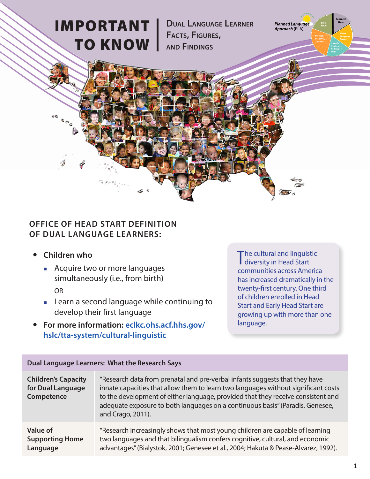## IMPORTANT TO KNOW

**Dual language learner Facts, Figures, anD FinDings**

**Planned Language** Approach (PLA)

## **OFFICE OF HEAD START DEFINITION OF DUAL LANGUAGE LEARNERS:**

- **Children who**
	- **EXECUTE:** Acquire two or more languages simultaneously (i.e., from birth) OR
	- ¡ Learn a second language while continuing to develop their first language
- **For more information: [eclkc.ohs.acf.hhs.gov/](eclkc.ohs.acf.hhs.gov/hslc/tta-system/cultural-linguistic) [hslc/tta-system/cultural-linguistic](eclkc.ohs.acf.hhs.gov/hslc/tta-system/cultural-linguistic)**

The cultural and linguistic<br>
diversity in Head Start diversity in Head Start communities across America has increased dramatically in the twenty-first century. One third of children enrolled in Head Start and Early Head Start are growing up with more than one language.

| Dual Language Learners: What the Research Says                |                                                                                                                                                                                                                                                                                                                                                             |
|---------------------------------------------------------------|-------------------------------------------------------------------------------------------------------------------------------------------------------------------------------------------------------------------------------------------------------------------------------------------------------------------------------------------------------------|
| <b>Children's Capacity</b><br>for Dual Language<br>Competence | "Research data from prenatal and pre-verbal infants suggests that they have<br>innate capacities that allow them to learn two languages without significant costs<br>to the development of either language, provided that they receive consistent and<br>adequate exposure to both languages on a continuous basis" (Paradis, Genesee,<br>and Crago, 2011). |
| <b>Value of</b><br><b>Supporting Home</b><br>Language         | "Research increasingly shows that most young children are capable of learning<br>two languages and that bilingualism confers cognitive, cultural, and economic<br>advantages" (Bialystok, 2001; Genesee et al., 2004; Hakuta & Pease-Alvarez, 1992).                                                                                                        |

## **Dual Language Learners: What the Research Says**